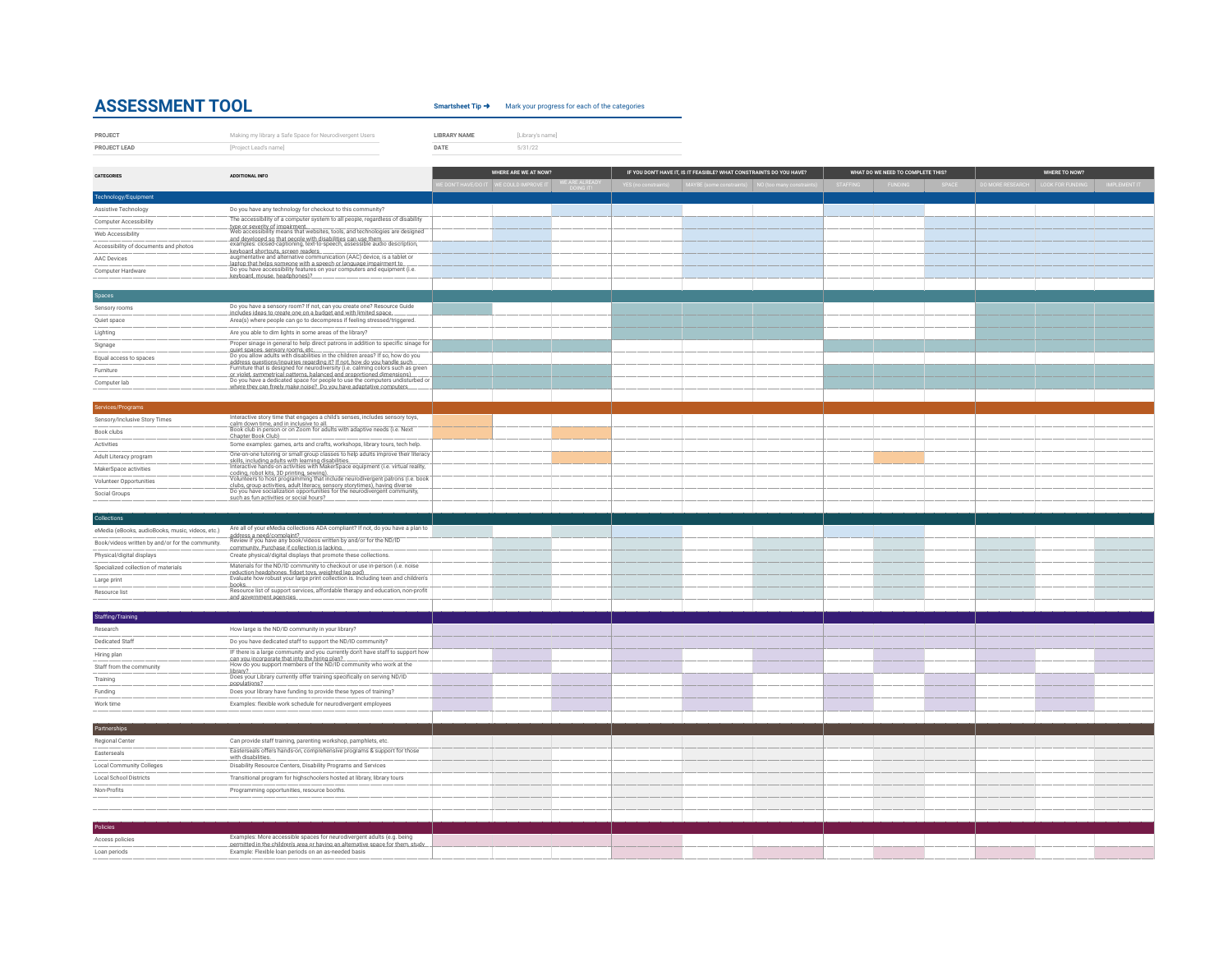## **ASSESSMENT TOOL** Smartsheet Tip → Mark your progress for each of the categories

**LIBRARY NAME** [Library's name]

| PROJECT      | Making my library a Safe Space for Neurodivergent Users | <b>LIBRARY NAME</b> | Library's na |
|--------------|---------------------------------------------------------|---------------------|--------------|
| PROJECT LEAD | [Project Lead's name]                                   | DATE                | 5/31/22      |

| <b>CATEGORIES</b><br>ADDITIONAL INFO.            |                                                                                                                                                              | WHERE ARE WE AT NOW? |  | IF YOU DON'T HAVE IT, IS IT FEASIBLE? WHAT CONSTRAINTS DO YOU HAVE? |  | WHAT DO WE NEED TO COMPLETE THIS? |  |  | <b>WHERE TO NOW?</b> |  |  |  |  |
|--------------------------------------------------|--------------------------------------------------------------------------------------------------------------------------------------------------------------|----------------------|--|---------------------------------------------------------------------|--|-----------------------------------|--|--|----------------------|--|--|--|--|
|                                                  |                                                                                                                                                              |                      |  |                                                                     |  |                                   |  |  |                      |  |  |  |  |
| Technology/Equipment                             |                                                                                                                                                              |                      |  |                                                                     |  |                                   |  |  |                      |  |  |  |  |
| Assistive Technology                             | Do you have any technology for checkout to this community?                                                                                                   |                      |  |                                                                     |  |                                   |  |  |                      |  |  |  |  |
| <b>Computer Accessibility</b>                    | The accessibility of a computer system to all people, regardless of disability                                                                               |                      |  |                                                                     |  |                                   |  |  |                      |  |  |  |  |
| Web Accessibility                                | type or severity of impairment.<br>Web accessibility means that websites, tools, and technologies are designed                                               |                      |  |                                                                     |  |                                   |  |  |                      |  |  |  |  |
| Accessibility of documents and photos            |                                                                                                                                                              |                      |  |                                                                     |  |                                   |  |  |                      |  |  |  |  |
| AAC Devices                                      | keyboard shortcuts. screen.readers<br>augmentative and alternative communication (AAC) device, is a tablet or                                                |                      |  |                                                                     |  |                                   |  |  |                      |  |  |  |  |
| Computer Hardware                                | laptop that helps someone with a speech or language impairment to<br>Do you have accessibility features on your computers and equipment (i.e.                |                      |  |                                                                     |  |                                   |  |  |                      |  |  |  |  |
|                                                  | keyboard, mouse, headphones)?                                                                                                                                |                      |  |                                                                     |  |                                   |  |  |                      |  |  |  |  |
| Spaces                                           |                                                                                                                                                              |                      |  |                                                                     |  |                                   |  |  |                      |  |  |  |  |
| Sensory rooms                                    | Do you have a sensory room? If not, can you create one? Resource Guide                                                                                       |                      |  |                                                                     |  |                                   |  |  |                      |  |  |  |  |
| Quiet space                                      | includes ideas to create one on a budget and with limited space.<br>Area(s) where people can go to decompress if feeling stressed/triggered.                 |                      |  |                                                                     |  |                                   |  |  |                      |  |  |  |  |
| Lighting                                         | Are you able to dim lights in some areas of the library?                                                                                                     |                      |  |                                                                     |  |                                   |  |  |                      |  |  |  |  |
| Signage                                          | Proper sinage in general to help direct patrons in addition to specific sinage for                                                                           |                      |  |                                                                     |  |                                   |  |  |                      |  |  |  |  |
| Equal access to spaces                           |                                                                                                                                                              |                      |  |                                                                     |  |                                   |  |  |                      |  |  |  |  |
| Furniture                                        | address questions/inquiries regarding it? If not, how do you handle such<br>Furniture that is designed for neurodiversity (i.e. calming colors such as green |                      |  |                                                                     |  |                                   |  |  |                      |  |  |  |  |
| Computer lab                                     | or violet, symmetrical patterns, balanced and proportioned dimensions).<br>Do you have a dedicated space for people to use the computers undisturbed or      |                      |  |                                                                     |  |                                   |  |  |                      |  |  |  |  |
|                                                  | where they can freely make noise? Do you have adaptative computers                                                                                           |                      |  |                                                                     |  |                                   |  |  |                      |  |  |  |  |
| Services/Programs                                |                                                                                                                                                              |                      |  |                                                                     |  |                                   |  |  |                      |  |  |  |  |
| Sensory/Inclusive Story Times                    | Interactive story time that engages a child's senses, includes sensory toys,                                                                                 |                      |  |                                                                     |  |                                   |  |  |                      |  |  |  |  |
| Book clubs                                       | calm down time, and in inclusive to all.<br>Book club in person or on Zoom for adults with adaptive needs (i.e. Next                                         |                      |  |                                                                     |  |                                   |  |  |                      |  |  |  |  |
| Activities                                       | Chapter Book Club).<br>Some examples: games, arts and crafts, workshops, library tours, tech help.                                                           |                      |  |                                                                     |  |                                   |  |  |                      |  |  |  |  |
|                                                  | One-on-one tutoring or small group classes to help adults improve their literacy                                                                             |                      |  |                                                                     |  |                                   |  |  |                      |  |  |  |  |
| Adult Literacy program<br>MakerSpace activities  | skills, including adults with learning disabilities.<br>Interactive hands-on activities with MakerSpace equipment (i.e. virtual reality,                     |                      |  |                                                                     |  |                                   |  |  |                      |  |  |  |  |
|                                                  | codina. robot kits. 3D printina. sewina).<br>Volunteers to host programming that include neurodivergent patrons (i.e. book                                   |                      |  |                                                                     |  |                                   |  |  |                      |  |  |  |  |
| Volunteer Opportunities                          | clubs, group activities, adult literacy, sensory storytimes), having diverse<br>Do you have socialization opportunities for the neurodivergent community,    |                      |  |                                                                     |  |                                   |  |  |                      |  |  |  |  |
| Social Groups                                    | such as fun activities or social hours?                                                                                                                      |                      |  |                                                                     |  |                                   |  |  |                      |  |  |  |  |
| Collections                                      |                                                                                                                                                              |                      |  |                                                                     |  |                                   |  |  |                      |  |  |  |  |
| eMedia (eBooks, audioBooks, music, videos, etc.) | Are all of your eMedia collections ADA compliant? If not, do you have a plan to                                                                              |                      |  |                                                                     |  |                                   |  |  |                      |  |  |  |  |
|                                                  | address a need/complaint?<br>Review if you have any book/videos written by and/or for the ND/ID                                                              |                      |  |                                                                     |  |                                   |  |  |                      |  |  |  |  |
| Book/videos written by and/or for the community. | community. Purchase if collection is lacking.                                                                                                                |                      |  |                                                                     |  |                                   |  |  |                      |  |  |  |  |
| Physical/digital displays                        | Create physical/digital displays that promote these collections.<br>Materials for the ND/ID community to checkout or use in-person (i.e. noise               |                      |  |                                                                     |  |                                   |  |  |                      |  |  |  |  |
| Specialized collection of materials              |                                                                                                                                                              |                      |  |                                                                     |  |                                   |  |  |                      |  |  |  |  |
| Large print                                      |                                                                                                                                                              |                      |  |                                                                     |  |                                   |  |  |                      |  |  |  |  |
| Resource list                                    | and government agencies.                                                                                                                                     |                      |  |                                                                     |  |                                   |  |  |                      |  |  |  |  |
|                                                  |                                                                                                                                                              |                      |  |                                                                     |  |                                   |  |  |                      |  |  |  |  |
| Staffing/Training<br>Research                    | How large is the ND/ID community in your library?                                                                                                            |                      |  |                                                                     |  |                                   |  |  |                      |  |  |  |  |
| <b>Dedicated Staff</b>                           | Do you have dedicated staff to support the ND/ID community?                                                                                                  |                      |  |                                                                     |  |                                   |  |  |                      |  |  |  |  |
| Hiring plan                                      | IF there is a large community and you currently don't have staff to support how                                                                              |                      |  |                                                                     |  |                                   |  |  |                      |  |  |  |  |
| Staff from the community                         | can vou incorporate that into the hiring plan?<br>How do you support members of the ND/ID community who work at the                                          |                      |  |                                                                     |  |                                   |  |  |                      |  |  |  |  |
| Training                                         | library?<br>Does your Library currently offer training specifically on serving ND/ID                                                                         |                      |  |                                                                     |  |                                   |  |  |                      |  |  |  |  |
|                                                  | populations?                                                                                                                                                 |                      |  |                                                                     |  |                                   |  |  |                      |  |  |  |  |
| Funding                                          | Does your library have funding to provide these types of training?                                                                                           |                      |  |                                                                     |  |                                   |  |  |                      |  |  |  |  |
| Work time                                        | Examples: flexible work schedule for neurodivergent employees                                                                                                |                      |  |                                                                     |  |                                   |  |  |                      |  |  |  |  |
| Partnerships                                     |                                                                                                                                                              |                      |  |                                                                     |  |                                   |  |  |                      |  |  |  |  |
| Regional Center                                  | Can provide staff training, parenting workshop, pamphlets, etc.                                                                                              |                      |  |                                                                     |  |                                   |  |  |                      |  |  |  |  |
| Easterseals                                      | Easterseals offers hands-on, comprehensive programs & support for those                                                                                      |                      |  |                                                                     |  |                                   |  |  |                      |  |  |  |  |
| <b>Local Community Colleges</b>                  | with disabilities.<br>Disability Resource Centers, Disability Programs and Services                                                                          |                      |  |                                                                     |  |                                   |  |  |                      |  |  |  |  |
| <b>Local School Districts</b>                    | Transitional program for highschoolers hosted at library, library tours                                                                                      |                      |  |                                                                     |  |                                   |  |  |                      |  |  |  |  |
| Non-Profits                                      | Programming opportunities, resource booths.                                                                                                                  |                      |  |                                                                     |  |                                   |  |  |                      |  |  |  |  |
|                                                  |                                                                                                                                                              |                      |  |                                                                     |  |                                   |  |  |                      |  |  |  |  |
|                                                  |                                                                                                                                                              |                      |  |                                                                     |  |                                   |  |  |                      |  |  |  |  |
| <b>Policies</b>                                  |                                                                                                                                                              |                      |  |                                                                     |  |                                   |  |  |                      |  |  |  |  |
|                                                  | Examples: More accessible spaces for neurodivergent adults (e.g. being                                                                                       |                      |  |                                                                     |  |                                   |  |  |                      |  |  |  |  |
| Access policies                                  | permitted in the children's area or having an alternative space for them, study                                                                              |                      |  |                                                                     |  |                                   |  |  |                      |  |  |  |  |
| Loan periods                                     | Example: Flexible loan periods on an as-needed basis                                                                                                         |                      |  |                                                                     |  |                                   |  |  |                      |  |  |  |  |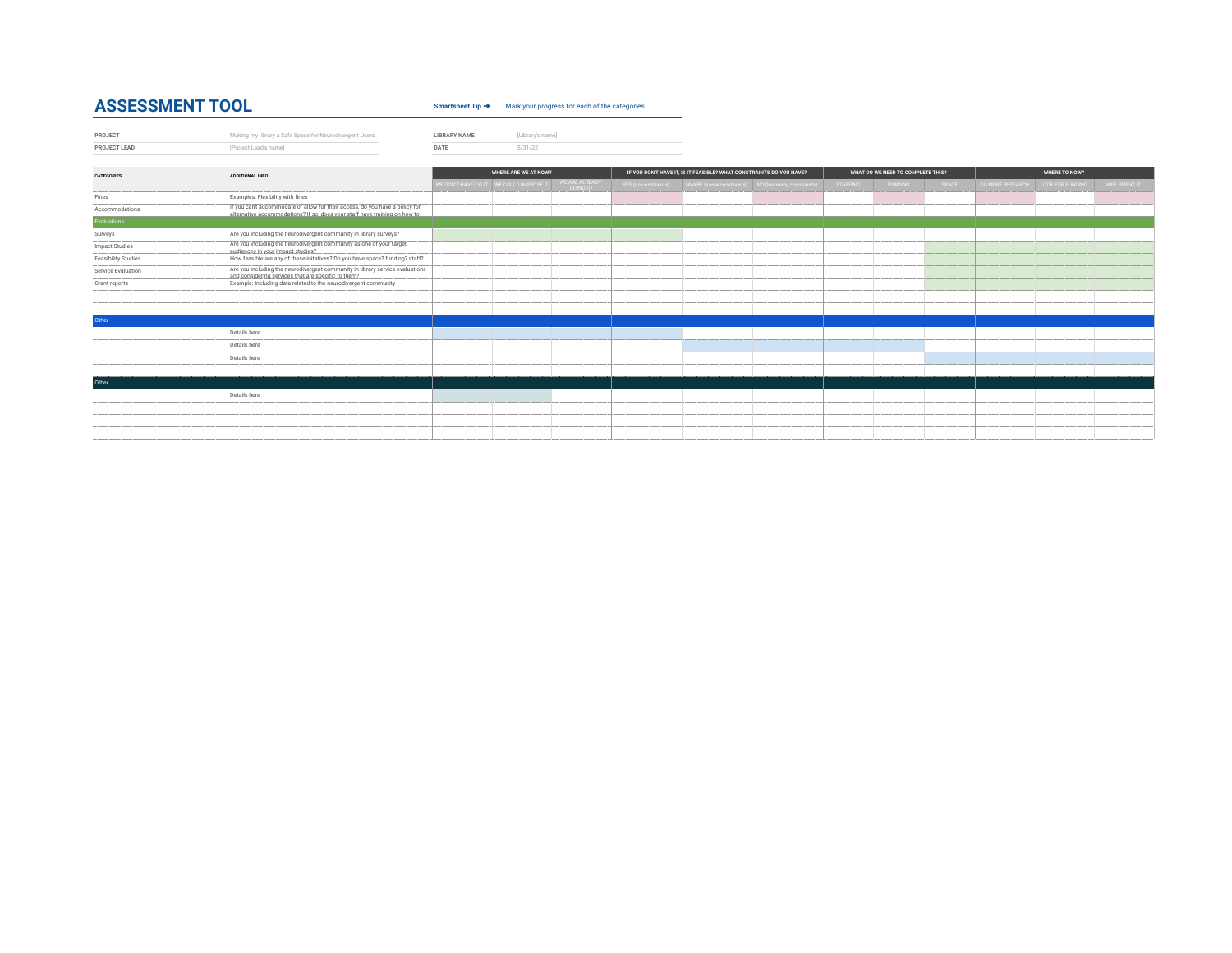## **ASSESSMENT TOOL** Smartsheet Tip → Mark your progress for each of the categories

| PROJECT     | Making my library a Safe Space for Neurodivergent Users | <b>BRARY NAME</b> | Library's namel |  |  |
|-------------|---------------------------------------------------------|-------------------|-----------------|--|--|
| PRO IECT LE | [Project Lead's name]                                   | DATE              | 5/31/22         |  |  |

| <b>CATEGORIES</b>          | ADDITIONAL INFO                                                                                                                                            | WHERE ARE WE AT NOW? |  | IF YOU DON'T HAVE IT, IS IT FEASIBLE? WHAT CONSTRAINTS DO YOU HAVE? |  |                                                                         | WHAT DO WE NEED TO COMPLETE THIS? |                 |                | WHERE TO NOW? |                                   |  |              |
|----------------------------|------------------------------------------------------------------------------------------------------------------------------------------------------------|----------------------|--|---------------------------------------------------------------------|--|-------------------------------------------------------------------------|-----------------------------------|-----------------|----------------|---------------|-----------------------------------|--|--------------|
|                            |                                                                                                                                                            |                      |  | WE ARE ALREADY<br>DOING IT!                                         |  | YES (no constraints) MAYBE (some constraints) NO (too many constraints) |                                   | <b>STAFFING</b> | <b>FUNDING</b> | SPACE         | DO MORE RESEARCH LOOK FOR FUNDING |  | IMPLEMENT IT |
| Fines                      | Examples: Flexibility with fines                                                                                                                           |                      |  |                                                                     |  |                                                                         |                                   |                 |                |               |                                   |  |              |
| Accommodations             | If you can't accommodate or allow for their access, do you have a policy for<br>alternative accommodations? If so, does your staff have training on how to |                      |  |                                                                     |  |                                                                         |                                   |                 |                |               |                                   |  |              |
| Evaluations                |                                                                                                                                                            |                      |  |                                                                     |  |                                                                         |                                   |                 |                |               |                                   |  |              |
| Surveys                    | Are you including the neurodivergent community in library surveys?                                                                                         |                      |  |                                                                     |  |                                                                         |                                   |                 |                |               |                                   |  |              |
| <b>Impact Studies</b>      | Are you including the neurodivergent community as one of your target<br>audiences in your impact studies?                                                  |                      |  |                                                                     |  |                                                                         |                                   |                 |                |               |                                   |  |              |
| <b>Feasibility Studies</b> | How feasible are any of these initatives? Do you have space? funding? staff?                                                                               |                      |  |                                                                     |  |                                                                         |                                   |                 |                |               |                                   |  |              |
| Service Evaluation         | Are you including the neurodivergent community in library service evaluations<br>and considering services that are specific to them?                       |                      |  |                                                                     |  |                                                                         |                                   |                 |                |               |                                   |  |              |
| Grant reports              | Example: Including data related to the neurodivergent community                                                                                            |                      |  |                                                                     |  |                                                                         |                                   |                 |                |               |                                   |  |              |
|                            |                                                                                                                                                            |                      |  |                                                                     |  |                                                                         |                                   |                 |                |               |                                   |  |              |
|                            |                                                                                                                                                            |                      |  |                                                                     |  |                                                                         |                                   |                 |                |               |                                   |  |              |
| Other                      |                                                                                                                                                            |                      |  |                                                                     |  |                                                                         |                                   |                 |                |               |                                   |  |              |
|                            | Details here                                                                                                                                               |                      |  |                                                                     |  |                                                                         |                                   |                 |                |               |                                   |  |              |
|                            | Details here                                                                                                                                               |                      |  |                                                                     |  |                                                                         |                                   |                 |                |               |                                   |  |              |
|                            | Details here                                                                                                                                               |                      |  |                                                                     |  |                                                                         |                                   |                 |                |               |                                   |  |              |
|                            |                                                                                                                                                            |                      |  |                                                                     |  |                                                                         |                                   |                 |                |               |                                   |  |              |
| Other                      |                                                                                                                                                            |                      |  |                                                                     |  |                                                                         |                                   |                 |                |               |                                   |  |              |
|                            | Details here                                                                                                                                               |                      |  |                                                                     |  |                                                                         |                                   |                 |                |               |                                   |  |              |
|                            |                                                                                                                                                            |                      |  |                                                                     |  |                                                                         |                                   |                 |                |               |                                   |  |              |
|                            |                                                                                                                                                            |                      |  |                                                                     |  |                                                                         |                                   |                 |                |               |                                   |  |              |
|                            |                                                                                                                                                            |                      |  |                                                                     |  |                                                                         |                                   |                 |                |               |                                   |  |              |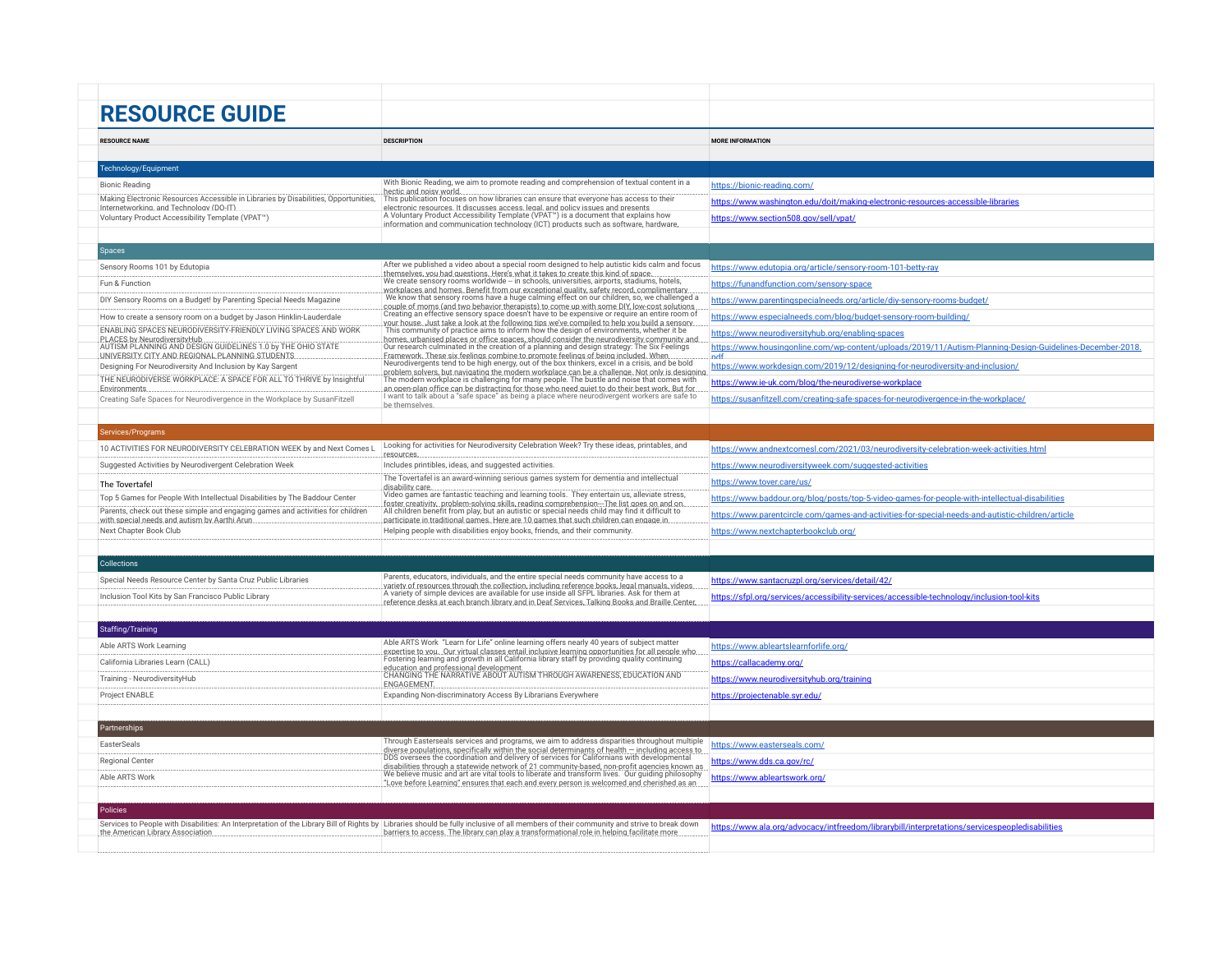| <b>RESOURCE GUIDE</b>                                                                                                          |                                                                                                                                                                                                   |                                                                                                                  |
|--------------------------------------------------------------------------------------------------------------------------------|---------------------------------------------------------------------------------------------------------------------------------------------------------------------------------------------------|------------------------------------------------------------------------------------------------------------------|
|                                                                                                                                |                                                                                                                                                                                                   |                                                                                                                  |
| <b>RESOURCE NAME</b>                                                                                                           | <b>DESCRIPTION</b>                                                                                                                                                                                | <b>MORE INFORMATION</b>                                                                                          |
|                                                                                                                                |                                                                                                                                                                                                   |                                                                                                                  |
| Technology/Equipment                                                                                                           | With Bionic Reading, we aim to promote reading and comprehension of textual content in a                                                                                                          |                                                                                                                  |
| <b>Bionic Reading</b><br>Making Electronic Resources Accessible in Libraries by Disabilities, Opportunities,                   | hectic and noisy world.<br>This publication focuses on how libraries can ensure that everyone has access to their                                                                                 | https://bionic-reading.com/                                                                                      |
| Internetworking. and Technology (DO-IT)                                                                                        | electronic resources. It discusses access. legal. and policy issues and presents                                                                                                                  | https://www.washington.edu/doit/making-electronic-resources-accessible-libraries                                 |
| Voluntary Product Accessibility Template (VPAT <sup>™</sup> )                                                                  | A Voluntary Product Accessibility Template (VPAT <sup>™</sup> ) is a document that explains how<br>information and communication technology (ICT) products such as software. hardware.            | https://www.section508.gov/sell/vpat/                                                                            |
|                                                                                                                                |                                                                                                                                                                                                   |                                                                                                                  |
| <b>Spaces</b>                                                                                                                  |                                                                                                                                                                                                   |                                                                                                                  |
| Sensory Rooms 101 by Edutopia                                                                                                  | After we published a video about a special room designed to help autistic kids calm and focus<br>themselves, you had questions. Here's what it takes to create this kind of space.                | https://www.edutopia.org/article/sensory-room-101-betty-ray                                                      |
| Fun & Function                                                                                                                 | We create sensory rooms worldwide - in schools, universities, airports, stadiums, hotels,<br>workplaces and homes. Benefit from our exceptional quality, safety record, complimentary             | https://funandfunction.com/sensory-space                                                                         |
| DIY Sensory Rooms on a Budget! by Parenting Special Needs Magazine                                                             | We know that sensory rooms have a huge calming effect on our children, so, we challenged a<br>couple of moms (and two behavior therapists) to come up with some DIY low-cost solutions.           | https://www.parentingspecialneeds.org/article/div-sensory-rooms-budget/                                          |
| How to create a sensory room on a budget by Jason Hinklin-Lauderdale                                                           | Creating an effective sensory space doesn't have to be expensive or require an entire room of<br>vour house. Just take a look at the following tips we've compiled to help you build a sensory    | https://www.especialneeds.com/blog/budget-sensory-room-building/                                                 |
| ENABLING SPACES NEURODIVERSITY-FRIENDLY LIVING SPACES AND WORK<br>PLACES by NeurodiversityHub                                  | This community of practice aims to inform how the design of environments, whether it be<br>homes, urbanised places or office spaces, should consider the neurodiversity community and             | https://www.neurodiversityhub.org/enabling-spaces                                                                |
| AUTISM PLANNING AND DESIGN GUIDELINES 1.0 by THE OHIO STATE<br>UNIVERSITY CITY AND REGIONAL PLANNING STUDENTS                  | Our research culminated in the creation of a planning and design strategy: The Six Feelings<br>Framework. These six feelings combine to promote feelings of being included. When                  | https://www.housingonline.com/wp-content/uploads/2019/11/Autism-Planning-Design-Guidelines-December-2018.<br>ndf |
| Designing For Neurodiversity And Inclusion by Kay Sargent                                                                      | Neurodivergents tend to be high energy, out of the box thinkers, excel in a crisis, and be bold<br>problem solvers, but navigating the modern workplace can be a challenge. Not only is designing | https://www.workdesign.com/2019/12/designing-for-neurodiversity-and-inclusion/                                   |
| THE NEURODIVERSE WORKPLACE: A SPACE FOR ALL TO THRIVE by Insightful<br>Environments                                            | The modern workplace is challenging for many people. The bustle and noise that comes with<br>an open-plan office can be distracting for those who need quiet to do their best work. But for       | https://www.ie-uk.com/blog/the-neurodiverse-workplace                                                            |
| Creating Safe Spaces for Neurodivergence in the Workplace by SusanFitzell                                                      | I want to talk about a "safe space" as being a place where neurodivergent workers are safe to<br>be themselves.                                                                                   | https://susanfitzell.com/creating-safe-spaces-for-neurodivergence-in-the-workplace/                              |
|                                                                                                                                |                                                                                                                                                                                                   |                                                                                                                  |
| Services/Programs                                                                                                              |                                                                                                                                                                                                   |                                                                                                                  |
| 10 ACTIVITIES FOR NEURODIVERSITY CELEBRATION WEEK by and Next Comes L                                                          | Looking for activities for Neurodiversity Celebration Week? Try these ideas, printables, and<br>resources.                                                                                        | https://www.andnextcomesl.com/2021/03/neurodiversity-celebration-week-activities.html                            |
| Suggested Activities by Neurodivergent Celebration Week                                                                        | Includes printibles, ideas, and suggested activities.                                                                                                                                             | https://www.neurodiversityweek.com/suggested-activities                                                          |
| The Tovertafel                                                                                                                 | The Tovertafel is an award-winning serious games system for dementia and intellectual<br>disability care.                                                                                         | https://www.tover.care/us/                                                                                       |
| Top 5 Games for People With Intellectual Disabilities by The Baddour Center                                                    | Video games are fantastic teaching and learning tools. They entertain us, alleviate stress,<br>foster creativity, problem-solving skills, reading comprehension-The list goes on and on.          | https://www.baddour.org/blog/posts/top-5-video-games-for-people-with-intellectual-disabilities                   |
| Parents, check out these simple and engaging games and activities for children<br>with special needs and autism by Aarthi Arun | All children benefit from play, but an autistic or special needs child may find it difficult to<br>participate in traditional games. Here are 10 games that such children can engage in           | https://www.parentcircle.com/games-and-activities-for-special-needs-and-autistic-children/article                |
| Next Chapter Book Club                                                                                                         | Helping people with disabilities enjoy books, friends, and their community.                                                                                                                       | https://www.nextchapterbookclub.org/                                                                             |
|                                                                                                                                |                                                                                                                                                                                                   |                                                                                                                  |
| <b>Collections</b>                                                                                                             |                                                                                                                                                                                                   |                                                                                                                  |
| Special Needs Resource Center by Santa Cruz Public Libraries                                                                   | Parents, educators, individuals, and the entire special needs community have access to a<br>variety of resources through the collection, including reference books, legal manuals, videos.        | https://www.santacruzpl.org/services/detail/42/                                                                  |
| Inclusion Tool Kits by San Francisco Public Library                                                                            | A variety of simple devices are available for use inside all SFPL libraries. Ask for them at<br>reference desks at each branch library and in Deaf Services. Talking Books and Braille Center     | https://sfpl.org/services/accessibility-services/accessible-technology/inclusion-tool-kits                       |
|                                                                                                                                |                                                                                                                                                                                                   |                                                                                                                  |
| Staffing/Training                                                                                                              |                                                                                                                                                                                                   |                                                                                                                  |
| Able ARTS Work Learning                                                                                                        | Able ARTS Work "Learn for Life" online learning offers nearly 40 years of subject matter<br>expertise to you. Our virtual classes entail inclusive learning opportunities for all people who      | https://www.ableartslearnforlife.org/                                                                            |
| California Libraries Learn (CALL)                                                                                              | Fostering learning and growth in all California library staff by providing quality continuing<br>education and professional development.                                                          | https://callacademy.org/                                                                                         |
| Training - NeurodiversityHub                                                                                                   | CHANGING THE NARRATIVE ABOUT AUTISM THROUGH AWARENESS, EDUCATION AND<br><b>FNGAGEMENT</b>                                                                                                         | https://www.neurodiversityhub.org/training                                                                       |
| Project ENABLE                                                                                                                 | Expanding Non-discriminatory Access By Librarians Everywhere                                                                                                                                      | https://projectenable.syr.edu/                                                                                   |
|                                                                                                                                |                                                                                                                                                                                                   |                                                                                                                  |
| Partnerships                                                                                                                   |                                                                                                                                                                                                   |                                                                                                                  |
| EasterSeals                                                                                                                    | Through Easterseals services and programs, we aim to address disparities throughout multiple                                                                                                      | https://www.easterseals.com/                                                                                     |
| Regional Center                                                                                                                | diverse populations, specifically within the social determinants of health - including access to<br>DDS oversees the coordination and delivery of services for Californians with developmental    | https://www.dds.ca.gov/rc/                                                                                       |
| Able ARTS Work                                                                                                                 | disabilities through a statewide network of 21 community-based, non-profit agencies known as<br>We believe music and art are vital tools to liberate and transform lives. Our guiding philosophy  | https://www.ableartswork.org/                                                                                    |
|                                                                                                                                | "Love before Learning" ensures that each and every person is welcomed and cherished as an                                                                                                         |                                                                                                                  |
| <b>Policies</b>                                                                                                                |                                                                                                                                                                                                   |                                                                                                                  |
|                                                                                                                                | Services to People with Disabilities: An Interpretation of the Library Bill of Rights by Libraries should be fully inclusive of all members of their community and strive to break down           | https://www.ala.org/advocacy/intfreedom/librarybill/interpretations/servicespeopledisabilities                   |
| the American Library Association                                                                                               | barriers to access. The library can play a transformational role in helping facilitate more                                                                                                       |                                                                                                                  |
|                                                                                                                                |                                                                                                                                                                                                   |                                                                                                                  |